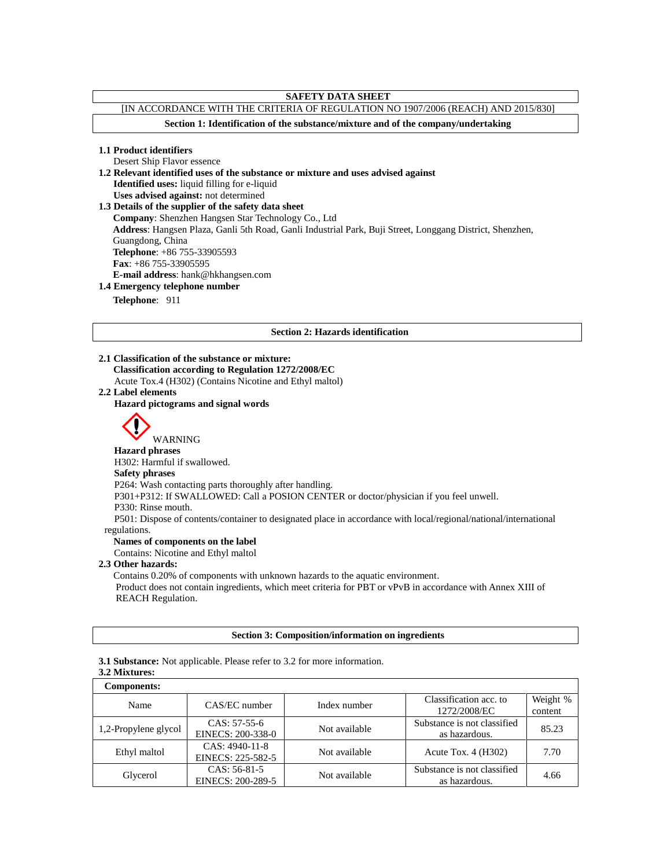# **SAFETY DATA SHEET**

# [IN ACCORDANCE WITH THE CRITERIA OF REGULATION NO 1907/2006 (REACH) AND 2015/830]

**Section 1: Identification of the substance/mixture and of the company/undertaking**

# **1.1 Product identifiers**

Desert Ship Flavor essence

**1.2 Relevant identified uses of the substance or mixture and uses advised against**

**Identified uses:** liquid filling for e-liquid

**Uses advised against:** not determined **1.3 Details of the supplier of the safety data sheet Company**: Shenzhen Hangsen Star Technology Co., Ltd **Address**: Hangsen Plaza, Ganli 5th Road, Ganli Industrial Park, Buji Street, Longgang District, Shenzhen, Guangdong, China **Telephone**: +86 755-33905593 **Fax**: +86 755-33905595

#### **E-mail address**: hank@hkhangsen.com

#### **1.4 Emergency telephone number**

**Telephone**: 911

#### **Section 2: Hazards identification**

**2.1 Classification of the substance or mixture: Classification according to Regulation 1272/2008/EC** Acute Tox.4 (H302) (Contains Nicotine and Ethyl maltol)

### **2.2 Label elements**

#### **Hazard pictograms and signal words**



WARNING

#### **Hazard phrases** H302: Harmful if swallowed.

# **Safety phrases**

P264: Wash contacting parts thoroughly after handling.

P301+P312: If SWALLOWED: Call a POSION CENTER or doctor/physician if you feel unwell.

# P330: Rinse mouth.

P501: Dispose of contents/container to designated place in accordance with local/regional/national/international regulations.

# **Names of components on the label**

Contains: Nicotine and Ethyl maltol

#### **2.3 Other hazards:**

Contains 0.20% of components with unknown hazards to the aquatic environment. Product does not contain ingredients, which meet criteria for PBT or vPvB in accordance with Annex XIII of REACH Regulation.

#### **Section 3: Composition/information on ingredients**

**3.1 Substance:** Not applicable. Please refer to 3.2 for more information.

# **3.2 Mixtures:**

| <b>Components:</b>   |                                     |               |                                              |                     |
|----------------------|-------------------------------------|---------------|----------------------------------------------|---------------------|
| Name                 | CAS/EC number                       | Index number  | Classification acc. to<br>1272/2008/EC       | Weight %<br>content |
| 1,2-Propylene glycol | $CAS: 57-55-6$<br>EINECS: 200-338-0 | Not available | Substance is not classified<br>as hazardous. | 85.23               |
| Ethyl maltol         | CAS: 4940-11-8<br>EINECS: 225-582-5 | Not available | Acute Tox. $4$ (H302)                        | 7.70                |
| Glycerol             | CAS: 56-81-5<br>EINECS: 200-289-5   | Not available | Substance is not classified<br>as hazardous. | 4.66                |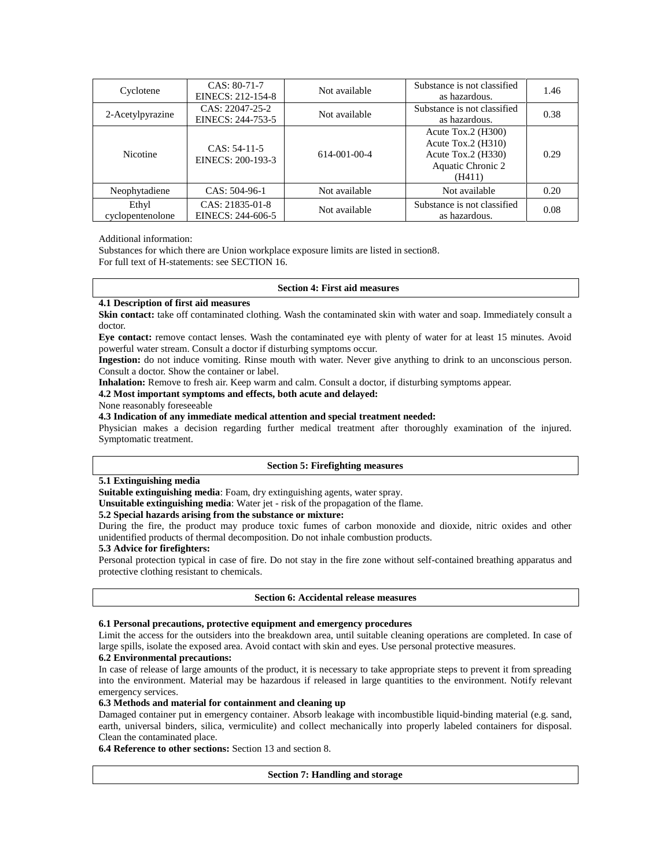| Cyclotene                 | CAS: 80-71-7<br>EINECS: 212-154-8    | Not available        | Substance is not classified<br>as hazardous.                                                      | 1.46 |
|---------------------------|--------------------------------------|----------------------|---------------------------------------------------------------------------------------------------|------|
| 2-Acetylpyrazine          | CAS: 22047-25-2<br>EINECS: 244-753-5 | Not available        | Substance is not classified<br>as hazardous.                                                      | 0.38 |
| <b>Nicotine</b>           | $CAS: 54-11-5$<br>EINECS: 200-193-3  | $614 - 001 - 00 - 4$ | Acute Tox.2 $(H300)$<br>Acute Tox.2 $(H310)$<br>Acute Tox.2 (H330)<br>Aquatic Chronic 2<br>(H411) | 0.29 |
| Neophytadiene             | $CAS: 504-96-1$                      | Not available        | Not available                                                                                     | 0.20 |
| Ethyl<br>cyclopentenolone | CAS: 21835-01-8<br>EINECS: 244-606-5 | Not available        | Substance is not classified<br>as hazardous.                                                      | 0.08 |

#### Additional information:

Substances for which there are Union workplace exposure limits are listed in section8. For full text of H-statements: see SECTION 16.

#### **Section 4: First aid measures**

#### **4.1 Description of first aid measures**

**Skin contact:** take off contaminated clothing. Wash the contaminated skin with water and soap. Immediately consult a doctor.

**Eye contact:** remove contact lenses. Wash the contaminated eye with plenty of water for at least 15 minutes. Avoid powerful water stream. Consult a doctor if disturbing symptoms occur.

**Ingestion:** do not induce vomiting. Rinse mouth with water. Never give anything to drink to an unconscious person. Consult a doctor. Show the container or label.

**Inhalation:** Remove to fresh air. Keep warm and calm. Consult a doctor, if disturbing symptoms appear.

# **4.2 Most important symptoms and effects, both acute and delayed:**

None reasonably foreseeable

#### **4.3 Indication of any immediate medical attention and special treatment needed:**

Physician makes a decision regarding further medical treatment after thoroughly examination of the injured. Symptomatic treatment.

#### **Section 5: Firefighting measures**

# **5.1 Extinguishing media**

**Suitable extinguishing media**: Foam, dry extinguishing agents, water spray.

**Unsuitable extinguishing media**: Water jet - risk of the propagation of the flame.

#### **5.2 Special hazards arising from the substance or mixture:**

During the fire, the product may produce toxic fumes of carbon monoxide and dioxide, nitric oxides and other unidentified products of thermal decomposition. Do not inhale combustion products.

#### **5.3 Advice for firefighters:**

Personal protection typical in case of fire. Do not stay in the fire zone without self-contained breathing apparatus and protective clothing resistant to chemicals.

#### **Section 6: Accidental release measures**

#### **6.1 Personal precautions, protective equipment and emergency procedures**

Limit the access for the outsiders into the breakdown area, until suitable cleaning operations are completed. In case of large spills, isolate the exposed area. Avoid contact with skin and eyes. Use personal protective measures.

#### **6.2 Environmental precautions:**

In case of release of large amounts of the product, it is necessary to take appropriate steps to prevent it from spreading into the environment. Material may be hazardous if released in large quantities to the environment. Notify relevant emergency services.

#### **6.3 Methods and material for containment and cleaning up**

Damaged container put in emergency container. Absorb leakage with incombustible liquid-binding material (e.g. sand, earth, universal binders, silica, vermiculite) and collect mechanically into properly labeled containers for disposal. Clean the contaminated place.

**6.4 Reference to other sections:** Section 13 and section 8.

#### **Section 7: Handling and storage**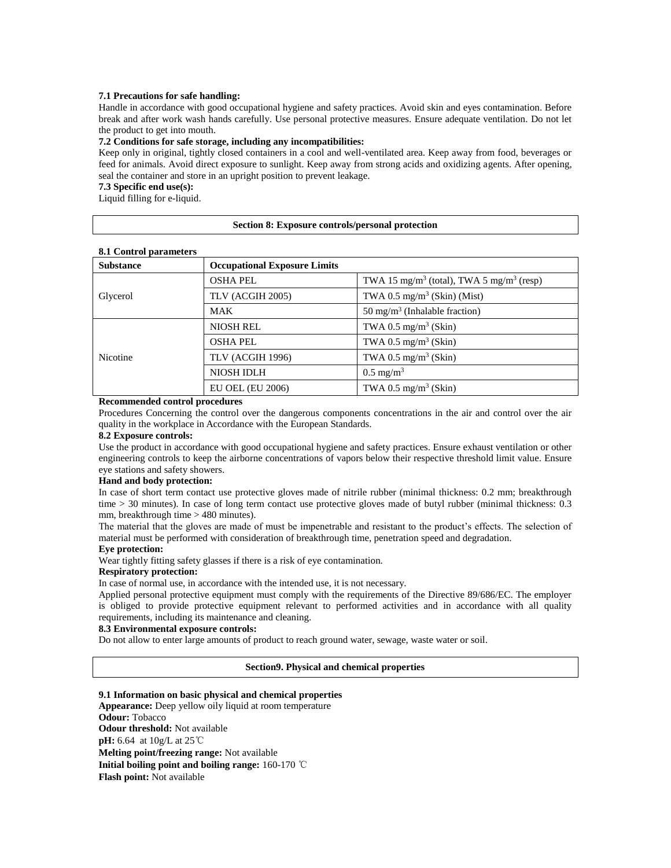#### **7.1 Precautions for safe handling:**

Handle in accordance with good occupational hygiene and safety practices. Avoid skin and eyes contamination. Before break and after work wash hands carefully. Use personal protective measures. Ensure adequate ventilation. Do not let the product to get into mouth.

#### **7.2 Conditions for safe storage, including any incompatibilities:**

Keep only in original, tightly closed containers in a cool and well-ventilated area. Keep away from food, beverages or feed for animals. Avoid direct exposure to sunlight. Keep away from strong acids and oxidizing agents. After opening, seal the container and store in an upright position to prevent leakage.

# **7.3 Specific end use(s):**

Liquid filling for e-liquid.

#### **Section 8: Exposure controls/personal protection**

|  | 8.1 Control parameters |
|--|------------------------|
|  |                        |

| <b>Substance</b> | <b>Occupational Exposure Limits</b> |                                                                  |  |
|------------------|-------------------------------------|------------------------------------------------------------------|--|
| Glycerol         | <b>OSHA PEL</b>                     | TWA 15 mg/m <sup>3</sup> (total), TWA 5 mg/m <sup>3</sup> (resp) |  |
|                  | TLV (ACGIH 2005)                    | TWA 0.5 mg/m <sup>3</sup> (Skin) (Mist)                          |  |
|                  | <b>MAK</b>                          | $50 \text{ mg/m}^3$ (Inhalable fraction)                         |  |
| <b>Nicotine</b>  | <b>NIOSH REL</b>                    | TWA 0.5 mg/m <sup>3</sup> (Skin)                                 |  |
|                  | <b>OSHA PEL</b>                     | TWA 0.5 mg/m <sup>3</sup> (Skin)                                 |  |
|                  | TLV (ACGIH 1996)                    | TWA 0.5 mg/m <sup>3</sup> (Skin)                                 |  |
|                  | <b>NIOSH IDLH</b>                   | $0.5 \text{ mg/m}^3$                                             |  |
|                  | <b>EU OEL (EU 2006)</b>             | TWA 0.5 mg/m <sup>3</sup> (Skin)                                 |  |

#### **Recommended control procedures**

Procedures Concerning the control over the dangerous components concentrations in the air and control over the air quality in the workplace in Accordance with the European Standards.

#### **8.2 Exposure controls:**

Use the product in accordance with good occupational hygiene and safety practices. Ensure exhaust ventilation or other engineering controls to keep the airborne concentrations of vapors below their respective threshold limit value. Ensure eye stations and safety showers.

#### **Hand and body protection:**

In case of short term contact use protective gloves made of nitrile rubber (minimal thickness: 0.2 mm; breakthrough time > 30 minutes). In case of long term contact use protective gloves made of butyl rubber (minimal thickness: 0.3 mm, breakthrough time > 480 minutes).

The material that the gloves are made of must be impenetrable and resistant to the product's effects. The selection of material must be performed with consideration of breakthrough time, penetration speed and degradation.

#### **Eye protection:**

Wear tightly fitting safety glasses if there is a risk of eye contamination.

### **Respiratory protection:**

In case of normal use, in accordance with the intended use, it is not necessary.

Applied personal protective equipment must comply with the requirements of the Directive 89/686/EC. The employer is obliged to provide protective equipment relevant to performed activities and in accordance with all quality requirements, including its maintenance and cleaning.

#### **8.3 Environmental exposure controls:**

Do not allow to enter large amounts of product to reach ground water, sewage, waste water or soil.

#### **Section9. Physical and chemical properties**

**9.1 Information on basic physical and chemical properties**

**Appearance:** Deep yellow oily liquid at room temperature **Odour:** Tobacco **Odour threshold:** Not available **pH:** 6.64 at 10g/L at 25℃ **Melting point/freezing range:** Not available **Initial boiling point and boiling range:** 160-170 ℃ **Flash point:** Not available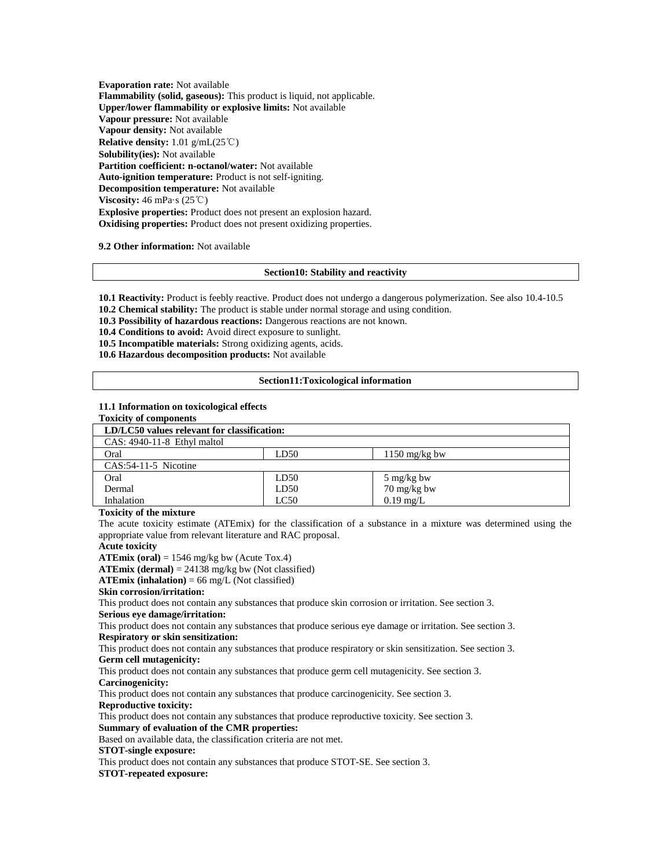**Evaporation rate:** Not available **Flammability (solid, gaseous):** This product is liquid, not applicable. **Upper/lower flammability or explosive limits:** Not available **Vapour pressure:** Not available **Vapour density:** Not available **Relative density:** 1.01 g/mL(25℃) **Solubility(ies):** Not available **Partition coefficient: n-octanol/water:** Not available **Auto-ignition temperature:** Product is not self-igniting. **Decomposition temperature:** Not available **Viscosity:** 46 mPa·s (25℃) **Explosive properties:** Product does not present an explosion hazard. **Oxidising properties:** Product does not present oxidizing properties.

**9.2 Other information:** Not available

#### **Section10: Stability and reactivity**

**10.1 Reactivity:** Product is feebly reactive. Product does not undergo a dangerous polymerization. See also 10.4-10.5 **10.2 Chemical stability:** The product is stable under normal storage and using condition.

**10.3 Possibility of hazardous reactions:** Dangerous reactions are not known.

**10.4 Conditions to avoid:** Avoid direct exposure to sunlight.

**10.5 Incompatible materials:** Strong oxidizing agents, acids.

**10.6 Hazardous decomposition products:** Not available

#### **Section11:Toxicological information**

#### **11.1 Information on toxicological effects Toxicity of components**

| LD/LC50 values relevant for classification: |                         |  |
|---------------------------------------------|-------------------------|--|
|                                             |                         |  |
| LD50                                        | $1150 \text{ mg/kg}$ bw |  |
|                                             |                         |  |
| LD50                                        | 5 mg/kg bw              |  |
| LD50                                        | 70 mg/kg bw             |  |
| LC50                                        | $0.19$ mg/L             |  |
|                                             |                         |  |

#### **Toxicity of the mixture**

The acute toxicity estimate (ATEmix) for the classification of a substance in a mixture was determined using the appropriate value from relevant literature and RAC proposal.

#### **Acute toxicity**

**ATEmix (oral)** = 1546 mg/kg bw (Acute Tox.4)

**ATEmix (dermal)** = 24138 mg/kg bw (Not classified)

 $\textbf{ATEmix}$  (inhalation) = 66 mg/L (Not classified)

#### **Skin corrosion/irritation:**

This product does not contain any substances that produce skin corrosion or irritation. See section 3. **Serious eye damage/irritation:**

This product does not contain any substances that produce serious eye damage or irritation. See section 3. **Respiratory or skin sensitization:**

This product does not contain any substances that produce respiratory or skin sensitization. See section 3. **Germ cell mutagenicity:**

This product does not contain any substances that produce germ cell mutagenicity. See section 3. **Carcinogenicity:**

This product does not contain any substances that produce carcinogenicity. See section 3.

**Reproductive toxicity:**

This product does not contain any substances that produce reproductive toxicity. See section 3. **Summary of evaluation of the CMR properties:**

Based on available data, the classification criteria are not met.

# **STOT-single exposure:**

This product does not contain any substances that produce STOT-SE. See section 3.

#### **STOT-repeated exposure:**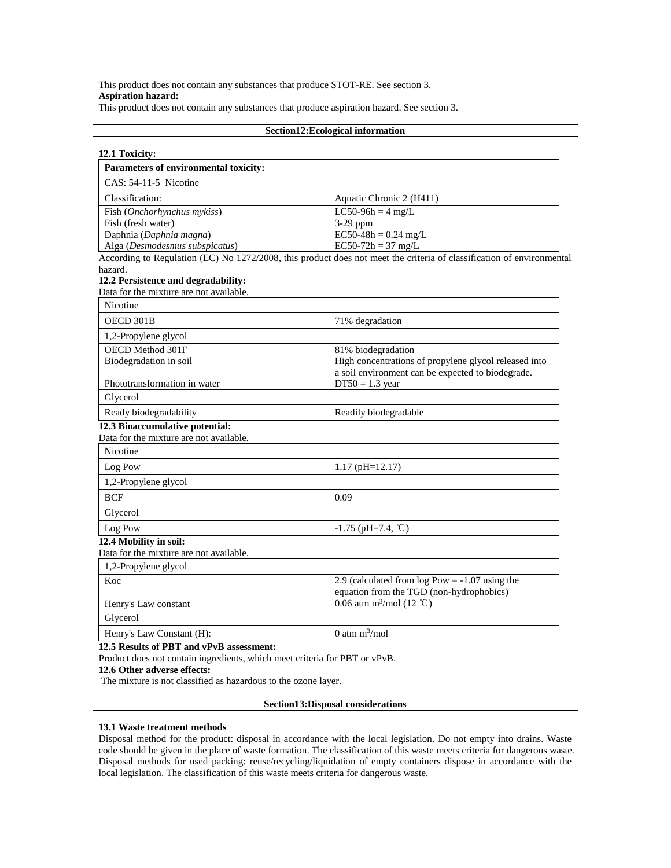# This product does not contain any substances that produce STOT-RE. See section 3. **Aspiration hazard:**

This product does not contain any substances that produce aspiration hazard. See section 3.

|                                                                                                           | Section12: Ecological information                                                                                     |
|-----------------------------------------------------------------------------------------------------------|-----------------------------------------------------------------------------------------------------------------------|
| 12.1 Toxicity:                                                                                            |                                                                                                                       |
| Parameters of environmental toxicity:                                                                     |                                                                                                                       |
| CAS: 54-11-5 Nicotine                                                                                     |                                                                                                                       |
| Classification:                                                                                           | Aquatic Chronic 2 (H411)                                                                                              |
| Fish ( <i>Onchorhynchus mykiss</i> )                                                                      | $LC50-96h = 4 mg/L$                                                                                                   |
| Fish (fresh water)                                                                                        | 3-29 ppm                                                                                                              |
| Daphnia (Daphnia magna)                                                                                   | $EC50-48h = 0.24$ mg/L                                                                                                |
| Alga (Desmodesmus subspicatus)                                                                            | EC50-7 $2h = 37$ mg/L                                                                                                 |
| hazard.                                                                                                   | According to Regulation (EC) No 1272/2008, this product does not meet the criteria of classification of environmental |
| 12.2 Persistence and degradability:                                                                       |                                                                                                                       |
| Data for the mixture are not available.                                                                   |                                                                                                                       |
| Nicotine                                                                                                  |                                                                                                                       |
| OECD 301B                                                                                                 | 71% degradation                                                                                                       |
| 1,2-Propylene glycol                                                                                      |                                                                                                                       |
| OECD Method 301F                                                                                          | 81% biodegradation                                                                                                    |
| Biodegradation in soil                                                                                    | High concentrations of propylene glycol released into                                                                 |
|                                                                                                           | a soil environment can be expected to biodegrade.                                                                     |
| Phototransformation in water                                                                              | $DT50 = 1.3$ year                                                                                                     |
| Glycerol                                                                                                  |                                                                                                                       |
| Ready biodegradability                                                                                    | Readily biodegradable                                                                                                 |
| 12.3 Bioaccumulative potential:<br>Data for the mixture are not available.                                |                                                                                                                       |
| Nicotine                                                                                                  |                                                                                                                       |
| Log Pow                                                                                                   | $1.17$ (pH= $12.17$ )                                                                                                 |
| 1,2-Propylene glycol                                                                                      |                                                                                                                       |
| <b>BCF</b>                                                                                                | 0.09                                                                                                                  |
|                                                                                                           |                                                                                                                       |
| Glycerol                                                                                                  |                                                                                                                       |
| Log Pow                                                                                                   | $-1.75$ (pH=7.4, °C)                                                                                                  |
| 12.4 Mobility in soil:                                                                                    |                                                                                                                       |
| Data for the mixture are not available.                                                                   |                                                                                                                       |
| 1,2-Propylene glycol                                                                                      |                                                                                                                       |
| Koc                                                                                                       | 2.9 (calculated from $log Pow = -1.07$ using the                                                                      |
|                                                                                                           | equation from the TGD (non-hydrophobics)<br>0.06 atm m <sup>3</sup> /mol (12 °C)                                      |
| Henry's Law constant                                                                                      |                                                                                                                       |
| Glycerol                                                                                                  |                                                                                                                       |
| Henry's Law Constant (H):                                                                                 | 0 atm $m^3$ /mol                                                                                                      |
| 12.5 Results of PBT and vPvB assessment:                                                                  |                                                                                                                       |
| Product does not contain ingredients, which meet criteria for PBT or vPvB.<br>12.6 Other adverse effects: |                                                                                                                       |
| The mixture is not classified as hazardous to the ozone layer.                                            |                                                                                                                       |
|                                                                                                           |                                                                                                                       |

# **Section13:Disposal considerations**

#### **13.1 Waste treatment methods**

Disposal method for the product: disposal in accordance with the local legislation. Do not empty into drains. Waste code should be given in the place of waste formation. The classification of this waste meets criteria for dangerous waste. Disposal methods for used packing: reuse/recycling/liquidation of empty containers dispose in accordance with the local legislation. The classification of this waste meets criteria for dangerous waste.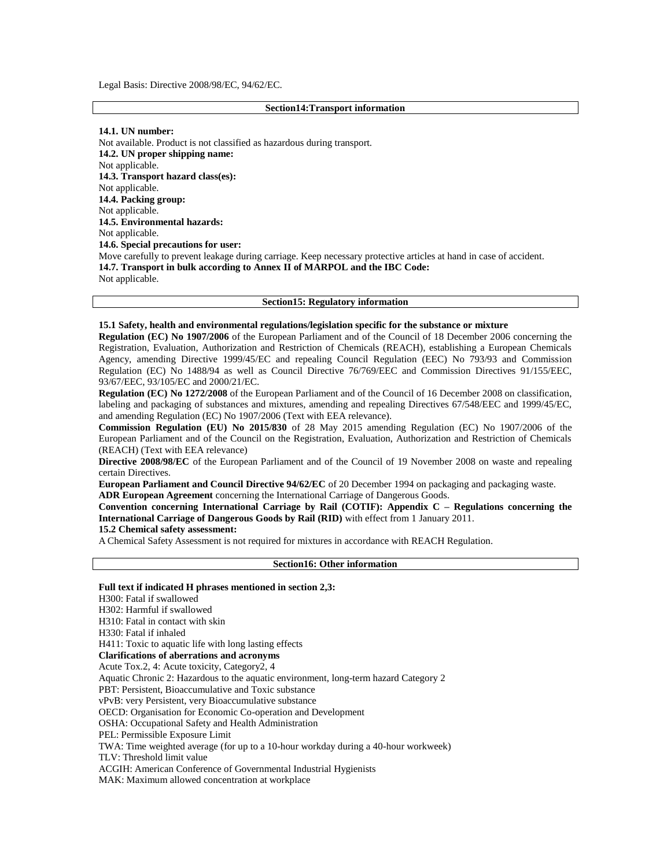Legal Basis: Directive 2008/98/EC, 94/62/EC.

#### **Section14:Transport information**

#### **14.1. UN number:**

Not available. Product is not classified as hazardous during transport. **14.2. UN proper shipping name:**  Not applicable. **14.3. Transport hazard class(es):**  Not applicable. **14.4. Packing group:**  Not applicable. **14.5. Environmental hazards:**  Not applicable. **14.6. Special precautions for user:**  Move carefully to prevent leakage during carriage. Keep necessary protective articles at hand in case of accident. **14.7. Transport in bulk according to Annex II of MARPOL and the IBC Code:**  Not applicable.

### **Section15: Regulatory information**

### **15.1 Safety, health and environmental regulations/legislation specific for the substance or mixture**

**Regulation (EC) No 1907/2006** of the European Parliament and of the Council of 18 December 2006 concerning the Registration, Evaluation, Authorization and Restriction of Chemicals (REACH), establishing a European Chemicals Agency, amending Directive 1999/45/EC and repealing Council Regulation (EEC) No 793/93 and Commission Regulation (EC) No 1488/94 as well as Council Directive 76/769/EEC and Commission Directives 91/155/EEC, 93/67/EEC, 93/105/EC and 2000/21/EC.

**Regulation (EC) No 1272/2008** of the European Parliament and of the Council of 16 December 2008 on classification, labeling and packaging of substances and mixtures, amending and repealing Directives 67/548/EEC and 1999/45/EC, and amending Regulation (EC) No 1907/2006 (Text with EEA relevance).

**Commission Regulation (EU) No 2015/830** of 28 May 2015 amending Regulation (EC) No 1907/2006 of the European Parliament and of the Council on the Registration, Evaluation, Authorization and Restriction of Chemicals (REACH) (Text with EEA relevance)

**Directive 2008/98/EC** of the European Parliament and of the Council of 19 November 2008 on waste and repealing certain Directives.

**European Parliament and Council Directive 94/62/EC** of 20 December 1994 on packaging and packaging waste. **ADR European Agreement** concerning the International Carriage of Dangerous Goods.

**Convention concerning International Carriage by Rail (COTIF): Appendix C – Regulations concerning the International Carriage of Dangerous Goods by Rail (RID)** with effect from 1 January 2011.

# **15.2 Chemical safety assessment:**

A Chemical Safety Assessment is not required for mixtures in accordance with REACH Regulation.

#### **Section16: Other information**

**Full text if indicated H phrases mentioned in section 2,3:** H300: Fatal if swallowed H302: Harmful if swallowed H310: Fatal in contact with skin H330: Fatal if inhaled H411: Toxic to aquatic life with long lasting effects **Clarifications of aberrations and acronyms** Acute Tox.2, 4: Acute toxicity, Category2, 4 Aquatic Chronic 2: Hazardous to the aquatic environment, long-term hazard Category 2 PBT: Persistent, Bioaccumulative and Toxic substance vPvB: very Persistent, very Bioaccumulative substance OECD: Organisation for Economic Co-operation and Development OSHA: Occupational Safety and Health Administration PEL: Permissible Exposure Limit TWA: Time weighted average (for up to a 10-hour workday during a 40-hour workweek) TLV: Threshold limit value ACGIH: American Conference of Governmental Industrial Hygienists MAK: Maximum allowed concentration at workplace